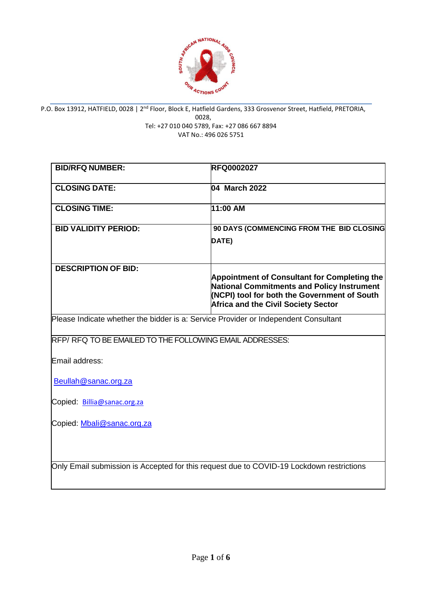

P.O. Box 13912, HATFIELD, 0028 | 2<sup>nd</sup> Floor, Block E, Hatfield Gardens, 333 Grosvenor Street, Hatfield, PRETORIA, 0028, Tel: +27 010 040 5789, Fax: +27 086 667 8894

VAT No.: 496 026 5751

| <b>BID/RFQ NUMBER:</b>                                                                   | <b>RFQ0002027</b>                                                                                                                                                                                      |
|------------------------------------------------------------------------------------------|--------------------------------------------------------------------------------------------------------------------------------------------------------------------------------------------------------|
| <b>CLOSING DATE:</b>                                                                     | 04 March 2022                                                                                                                                                                                          |
| <b>CLOSING TIME:</b>                                                                     | 11:00 AM                                                                                                                                                                                               |
| <b>BID VALIDITY PERIOD:</b>                                                              | 90 DAYS (COMMENCING FROM THE BID CLOSING                                                                                                                                                               |
|                                                                                          | DATE)                                                                                                                                                                                                  |
| <b>DESCRIPTION OF BID:</b>                                                               |                                                                                                                                                                                                        |
|                                                                                          | <b>Appointment of Consultant for Completing the</b><br><b>National Commitments and Policy Instrument</b><br>(NCPI) tool for both the Government of South<br><b>Africa and the Civil Society Sector</b> |
| Please Indicate whether the bidder is a: Service Provider or Independent Consultant      |                                                                                                                                                                                                        |
| RFP/RFQ TO BE EMAILED TO THE FOLLOWING EMAIL ADDRESSES:                                  |                                                                                                                                                                                                        |
| Email address:                                                                           |                                                                                                                                                                                                        |
| Beullah@sanac.org.za                                                                     |                                                                                                                                                                                                        |
| Copied: Billia@sanac.org.za                                                              |                                                                                                                                                                                                        |
| Copied: Mbali@sanac.org.za                                                               |                                                                                                                                                                                                        |
| Only Email submission is Accepted for this request due to COVID-19 Lockdown restrictions |                                                                                                                                                                                                        |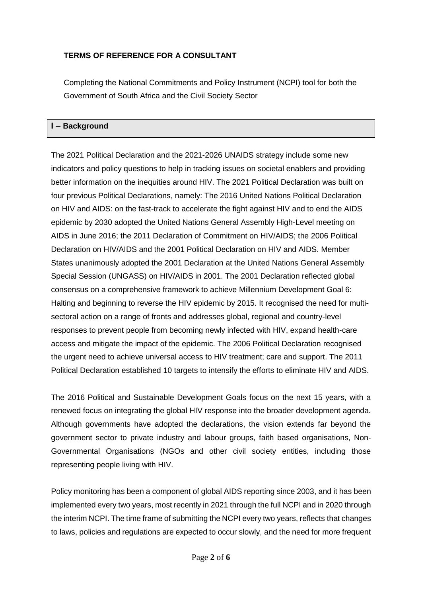## **TERMS OF REFERENCE FOR A CONSULTANT**

Completing the National Commitments and Policy Instrument (NCPI) tool for both the Government of South Africa and the Civil Society Sector

#### **I – Background**

The 2021 Political Declaration and the 2021-2026 UNAIDS strategy include some new indicators and policy questions to help in tracking issues on societal enablers and providing better information on the inequities around HIV. The 2021 Political Declaration was built on four previous Political Declarations, namely: The 2016 United Nations Political Declaration on HIV and AIDS: on the fast-track to accelerate the fight against HIV and to end the AIDS epidemic by 2030 adopted the United Nations General Assembly High-Level meeting on AIDS in June 2016; the 2011 Declaration of Commitment on HIV/AIDS; the 2006 Political Declaration on HIV/AIDS and the 2001 Political Declaration on HIV and AIDS. Member States unanimously adopted the 2001 Declaration at the United Nations General Assembly Special Session (UNGASS) on HIV/AIDS in 2001. The 2001 Declaration reflected global consensus on a comprehensive framework to achieve Millennium Development Goal 6: Halting and beginning to reverse the HIV epidemic by 2015. It recognised the need for multisectoral action on a range of fronts and addresses global, regional and country-level responses to prevent people from becoming newly infected with HIV, expand health-care access and mitigate the impact of the epidemic. The 2006 Political Declaration recognised the urgent need to achieve universal access to HIV treatment; care and support. The 2011 Political Declaration established 10 targets to intensify the efforts to eliminate HIV and AIDS.

The 2016 Political and Sustainable Development Goals focus on the next 15 years, with a renewed focus on integrating the global HIV response into the broader development agenda. Although governments have adopted the declarations, the vision extends far beyond the government sector to private industry and labour groups, faith based organisations, Non-Governmental Organisations (NGOs and other civil society entities, including those representing people living with HIV.

Policy monitoring has been a component of global AIDS reporting since 2003, and it has been implemented every two years, most recently in 2021 through the full NCPI and in 2020 through the interim NCPI. The time frame of submitting the NCPI every two years, reflects that changes to laws, policies and regulations are expected to occur slowly, and the need for more frequent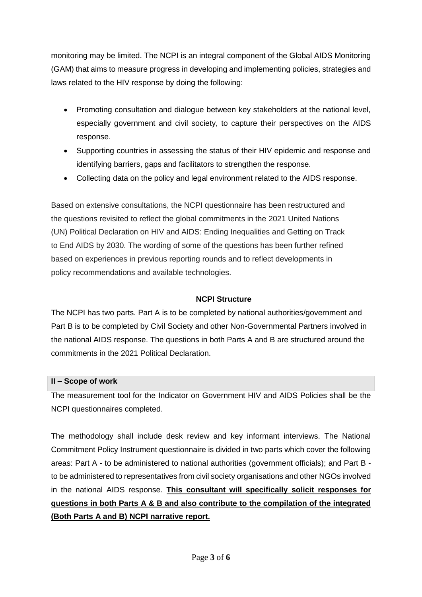monitoring may be limited. The NCPI is an integral component of the Global AIDS Monitoring (GAM) that aims to measure progress in developing and implementing policies, strategies and laws related to the HIV response by doing the following:

- Promoting consultation and dialogue between key stakeholders at the national level, especially government and civil society, to capture their perspectives on the AIDS response.
- Supporting countries in assessing the status of their HIV epidemic and response and identifying barriers, gaps and facilitators to strengthen the response.
- Collecting data on the policy and legal environment related to the AIDS response.

Based on extensive consultations, the NCPI questionnaire has been restructured and the questions revisited to reflect the global commitments in the 2021 United Nations (UN) Political Declaration on HIV and AIDS: Ending Inequalities and Getting on Track to End AIDS by 2030. The wording of some of the questions has been further refined based on experiences in previous reporting rounds and to reflect developments in policy recommendations and available technologies.

### **NCPI Structure**

The NCPI has two parts. Part A is to be completed by national authorities/government and Part B is to be completed by Civil Society and other Non-Governmental Partners involved in the national AIDS response. The questions in both Parts A and B are structured around the commitments in the 2021 Political Declaration.

#### **II – Scope of work**

The measurement tool for the Indicator on Government HIV and AIDS Policies shall be the NCPI questionnaires completed.

The methodology shall include desk review and key informant interviews. The National Commitment Policy Instrument questionnaire is divided in two parts which cover the following areas: Part A - to be administered to national authorities (government officials); and Part B to be administered to representatives from civil society organisations and other NGOs involved in the national AIDS response. **This consultant will specifically solicit responses for questions in both Parts A & B and also contribute to the compilation of the integrated (Both Parts A and B) NCPI narrative report.**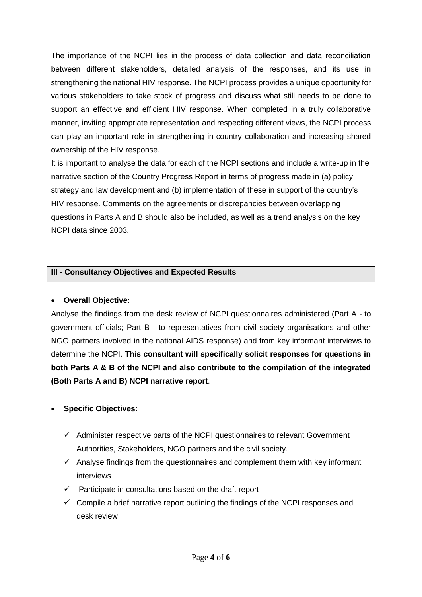The importance of the NCPI lies in the process of data collection and data reconciliation between different stakeholders, detailed analysis of the responses, and its use in strengthening the national HIV response. The NCPI process provides a unique opportunity for various stakeholders to take stock of progress and discuss what still needs to be done to support an effective and efficient HIV response. When completed in a truly collaborative manner, inviting appropriate representation and respecting different views, the NCPI process can play an important role in strengthening in-country collaboration and increasing shared ownership of the HIV response.

It is important to analyse the data for each of the NCPI sections and include a write-up in the narrative section of the Country Progress Report in terms of progress made in (a) policy, strategy and law development and (b) implementation of these in support of the country's HIV response. Comments on the agreements or discrepancies between overlapping questions in Parts A and B should also be included, as well as a trend analysis on the key NCPI data since 2003.

## **III - Consultancy Objectives and Expected Results**

#### **Overall Objective:**

Analyse the findings from the desk review of NCPI questionnaires administered (Part A - to government officials; Part B - to representatives from civil society organisations and other NGO partners involved in the national AIDS response) and from key informant interviews to determine the NCPI. **This consultant will specifically solicit responses for questions in both Parts A & B of the NCPI and also contribute to the compilation of the integrated (Both Parts A and B) NCPI narrative report**.

## **Specific Objectives:**

- $\checkmark$  Administer respective parts of the NCPI questionnaires to relevant Government Authorities, Stakeholders, NGO partners and the civil society.
- $\checkmark$  Analyse findings from the questionnaires and complement them with key informant interviews
- $\checkmark$  Participate in consultations based on the draft report
- $\checkmark$  Compile a brief narrative report outlining the findings of the NCPI responses and desk review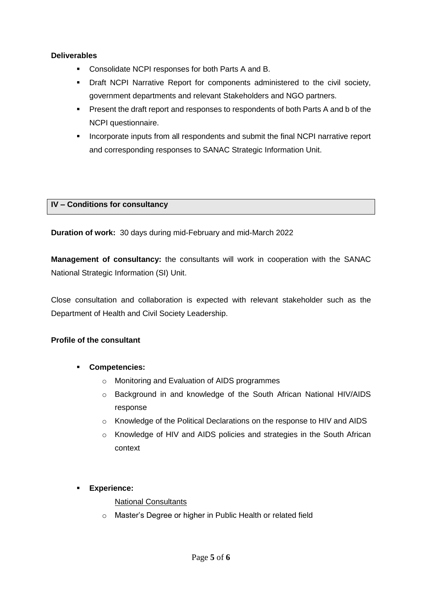### **Deliverables**

- **Consolidate NCPI responses for both Parts A and B.**
- Draft NCPI Narrative Report for components administered to the civil society, government departments and relevant Stakeholders and NGO partners.
- **Present the draft report and responses to respondents of both Parts A and b of the** NCPI questionnaire.
- Incorporate inputs from all respondents and submit the final NCPI narrative report and corresponding responses to SANAC Strategic Information Unit.

#### **IV – Conditions for consultancy**

**Duration of work:** 30 days during mid-February and mid-March 2022

**Management of consultancy:** the consultants will work in cooperation with the SANAC National Strategic Information (SI) Unit.

Close consultation and collaboration is expected with relevant stakeholder such as the Department of Health and Civil Society Leadership.

### **Profile of the consultant**

- **Competencies:**
	- o Monitoring and Evaluation of AIDS programmes
	- o Background in and knowledge of the South African National HIV/AIDS response
	- o Knowledge of the Political Declarations on the response to HIV and AIDS
	- o Knowledge of HIV and AIDS policies and strategies in the South African context
- **Experience:**

#### National Consultants

o Master's Degree or higher in Public Health or related field